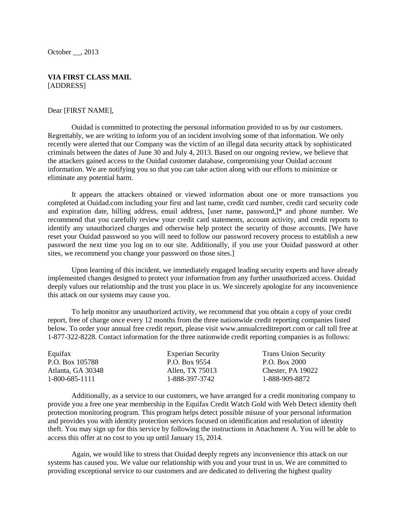October . 2013

#### **VIA FIRST CLASS MAIL** [ADDRESS]

#### Dear [FIRST NAME],

Ouidad is committed to protecting the personal information provided to us by our customers. Regrettably, we are writing to inform you of an incident involving some of that information. We only recently were alerted that our Company was the victim of an illegal data security attack by sophisticated criminals between the dates of June 30 and July 4, 2013. Based on our ongoing review, we believe that the attackers gained access to the Ouidad customer database, compromising your Ouidad account information. We are notifying you so that you can take action along with our efforts to minimize or eliminate any potential harm.

It appears the attackers obtained or viewed information about one or more transactions you completed at Ouidad.com including your first and last name, credit card number, credit card security code and expiration date, billing address, email address, [user name, password,]\* and phone number. We recommend that you carefully review your credit card statements, account activity, and credit reports to identify any unauthorized charges and otherwise help protect the security of those accounts. [We have reset your Ouidad password so you will need to follow our password recovery process to establish a new password the next time you log on to our site. Additionally, if you use your Ouidad password at other sites, we recommend you change your password on those sites.]

Upon learning of this incident, we immediately engaged leading security experts and have already implemented changes designed to protect your information from any further unauthorized access. Ouidad deeply values our relationship and the trust you place in us. We sincerely apologize for any inconvenience this attack on our systems may cause you.

To help monitor any unauthorized activity, we recommend that you obtain a copy of your credit report, free of charge once every 12 months from the three nationwide credit reporting companies listed below. To order your annual free credit report, please visit www.annualcreditreport.com or call toll free at 1-877-322-8228. Contact information for the three nationwide credit reporting companies is as follows:

| Equifax           | <b>Experian Security</b> | <b>Trans Union Security</b> |
|-------------------|--------------------------|-----------------------------|
| P.O. Box 105788   | P.O. Box 9554            | P.O. Box 2000               |
| Atlanta, GA 30348 | Allen. TX 75013          | Chester, PA 19022           |
| 1-800-685-1111    | 1-888-397-3742           | 1-888-909-8872              |

Additionally, as a service to our customers, we have arranged for a credit monitoring company to provide you a free one year membership in the Equifax Credit Watch Gold with Web Detect identity theft protection monitoring program. This program helps detect possible misuse of your personal information and provides you with identity protection services focused on identification and resolution of identity theft. You may sign up for this service by following the instructions in Attachment A. You will be able to access this offer at no cost to you up until January 15, 2014.

Again, we would like to stress that Ouidad deeply regrets any inconvenience this attack on our systems has caused you. We value our relationship with you and your trust in us. We are committed to providing exceptional service to our customers and are dedicated to delivering the highest quality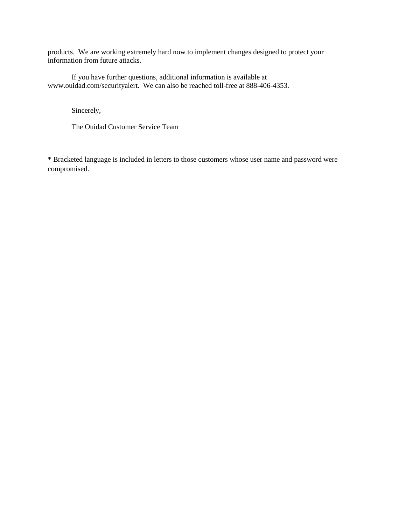products. We are working extremely hard now to implement changes designed to protect your information from future attacks.

If you have further questions, additional information is available at www.ouidad.com/securityalert. We can also be reached toll-free at 888-406-4353.

Sincerely,

The Ouidad Customer Service Team

\* Bracketed language is included in letters to those customers whose user name and password were compromised.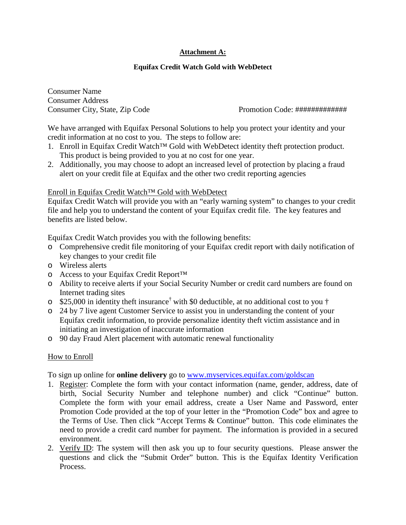# **Attachment A:**

## **Equifax Credit Watch Gold with WebDetect**

Consumer Name Consumer Address

Consumer City, State, Zip Code Promotion Code: #############

We have arranged with Equifax Personal Solutions to help you protect your identity and your credit information at no cost to you. The steps to follow are:

- 1. Enroll in Equifax Credit Watch™ Gold with WebDetect identity theft protection product. This product is being provided to you at no cost for one year.
- 2. Additionally, you may choose to adopt an increased level of protection by placing a fraud alert on your credit file at Equifax and the other two credit reporting agencies

### Enroll in Equifax Credit Watch™ Gold with WebDetect

Equifax Credit Watch will provide you with an "early warning system" to changes to your credit file and help you to understand the content of your Equifax credit file. The key features and benefits are listed below.

Equifax Credit Watch provides you with the following benefits:

- o Comprehensive credit file monitoring of your Equifax credit report with daily notification of key changes to your credit file
- o Wireless alerts
- o Access to your Equifax Credit Report™
- o Ability to receive alerts if your Social Security Number or credit card numbers are found on Internet trading sites
- $\degree$  \$25,000 in identity theft insurance<sup>†</sup> with \$0 deductible, at no additional cost to you †
- o 24 by 7 live agent Customer Service to assist you in understanding the content of your Equifax credit information, to provide personalize identity theft victim assistance and in initiating an investigation of inaccurate information
- o 90 day Fraud Alert placement with automatic renewal functionality

## How to Enroll

To sign up online for **online delivery** go to [www.myservices.equifax.com/golds](http://www.myservices.equifax.com/gold)can

- 1. Register: Complete the form with your contact information (name, gender, address, date of birth, Social Security Number and telephone number) and click "Continue" button. Complete the form with your email address, create a User Name and Password, enter Promotion Code provided at the top of your letter in the "Promotion Code" box and agree to the Terms of Use. Then click "Accept Terms & Continue" button. This code eliminates the need to provide a credit card number for payment. The information is provided in a secured environment.
- 2. Verify ID: The system will then ask you up to four security questions. Please answer the questions and click the "Submit Order" button. This is the Equifax Identity Verification Process.